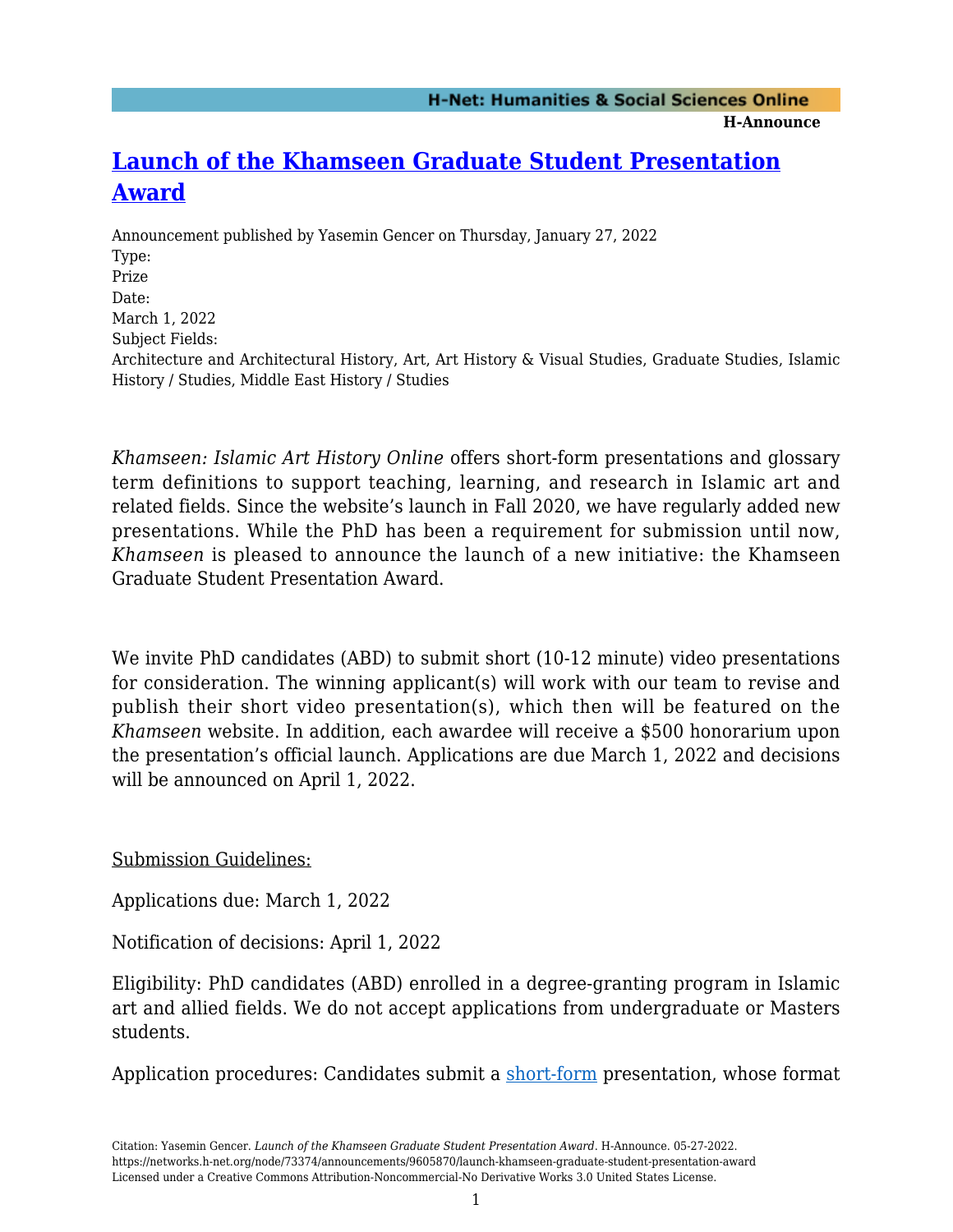**H-Announce** 

## **[Launch of the Khamseen Graduate Student Presentation](https://networks.h-net.org/node/73374/announcements/9605870/launch-khamseen-graduate-student-presentation-award) [Award](https://networks.h-net.org/node/73374/announcements/9605870/launch-khamseen-graduate-student-presentation-award)**

Announcement published by Yasemin Gencer on Thursday, January 27, 2022 Type: Prize Date: March 1, 2022 Subject Fields: Architecture and Architectural History, Art, Art History & Visual Studies, Graduate Studies, Islamic History / Studies, Middle East History / Studies

*Khamseen: Islamic Art History Online* offers short-form presentations and glossary term definitions to support teaching, learning, and research in Islamic art and related fields. Since the website's launch in Fall 2020, we have regularly added new presentations. While the PhD has been a requirement for submission until now, *Khamseen* is pleased to announce the launch of a new initiative: the Khamseen Graduate Student Presentation Award.

We invite PhD candidates (ABD) to submit short (10-12 minute) video presentations for consideration. The winning applicant(s) will work with our team to revise and publish their short video presentation(s), which then will be featured on the *Khamseen* website. In addition, each awardee will receive a \$500 honorarium upon the presentation's official launch. Applications are due March 1, 2022 and decisions will be announced on April 1, 2022.

Submission Guidelines:

Applications due: March 1, 2022

Notification of decisions: April 1, 2022

Eligibility: PhD candidates (ABD) enrolled in a degree-granting program in Islamic art and allied fields. We do not accept applications from undergraduate or Masters students.

Application procedures: Candidates submit a [short-form](https://sites.lsa.umich.edu/khamseen/presentations/) presentation, whose format